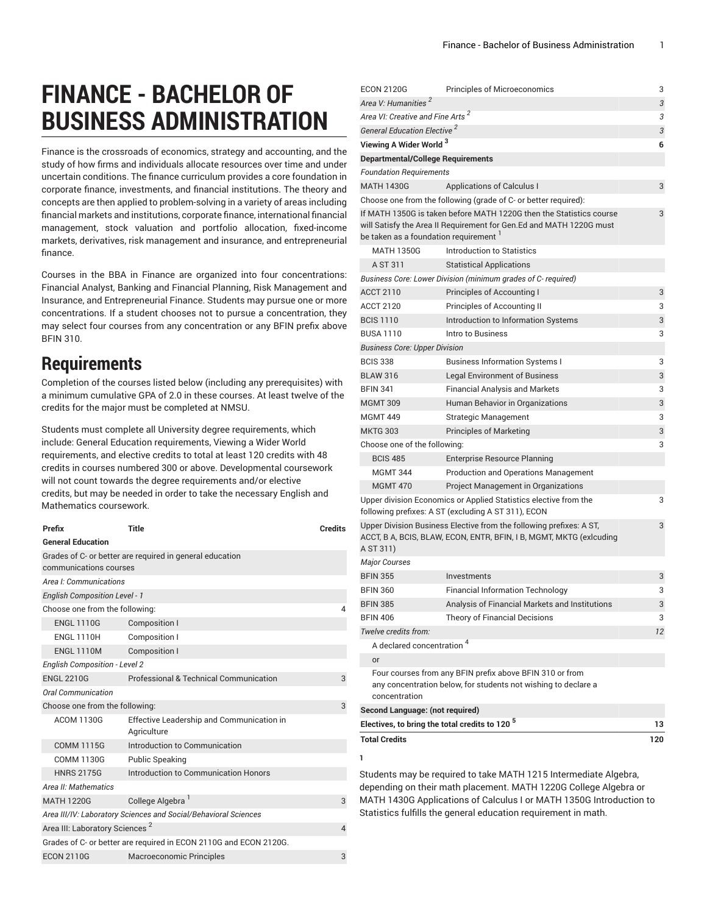# **FINANCE - BACHELOR OF BUSINESS ADMINISTRATION**

Finance is the crossroads of economics, strategy and accounting, and the study of how firms and individuals allocate resources over time and under uncertain conditions. The finance curriculum provides a core foundation in corporate finance, investments, and financial institutions. The theory and concepts are then applied to problem-solving in a variety of areas including financial markets and institutions, corporate finance, international financial management, stock valuation and portfolio allocation, fixed-income markets, derivatives, risk management and insurance, and entrepreneurial finance.

Courses in the BBA in Finance are organized into four concentrations: Financial Analyst, Banking and Financial Planning, Risk Management and Insurance, and Entrepreneurial Finance. Students may pursue one or more concentrations. If a student chooses not to pursue a concentration, they may select four courses from any concentration or any BFIN prefix above BFIN 310.

# **Requirements**

Completion of the courses listed below (including any prerequisites) with a minimum cumulative GPA of 2.0 in these courses. At least twelve of the credits for the major must be completed at NMSU.

Students must complete all University degree requirements, which include: General Education requirements, Viewing a Wider World requirements, and elective credits to total at least 120 credits with 48 credits in courses numbered 300 or above. Developmental coursework will not count towards the degree requirements and/or elective credits, but may be needed in order to take the necessary English and Mathematics coursework.

| Prefix                                                                             |                                                                   | <b>Title</b>                                             | <b>Credits</b> |  |  |
|------------------------------------------------------------------------------------|-------------------------------------------------------------------|----------------------------------------------------------|----------------|--|--|
| <b>General Education</b>                                                           |                                                                   |                                                          |                |  |  |
| Grades of C- or better are required in general education<br>communications courses |                                                                   |                                                          |                |  |  |
|                                                                                    | Area I: Communications                                            |                                                          |                |  |  |
|                                                                                    | <b>English Composition Level - 1</b>                              |                                                          |                |  |  |
| Choose one from the following:                                                     |                                                                   |                                                          |                |  |  |
|                                                                                    | <b>ENGL 1110G</b>                                                 | Composition I                                            |                |  |  |
|                                                                                    | <b>ENGL 1110H</b>                                                 | Composition I                                            |                |  |  |
|                                                                                    | <b>ENGL 1110M</b>                                                 | Composition I                                            |                |  |  |
| <b>English Composition - Level 2</b>                                               |                                                                   |                                                          |                |  |  |
|                                                                                    | <b>ENGL 2210G</b>                                                 | Professional & Technical Communication                   | 3              |  |  |
| Oral Communication                                                                 |                                                                   |                                                          |                |  |  |
|                                                                                    | Choose one from the following:                                    |                                                          | 3              |  |  |
|                                                                                    | <b>ACOM 1130G</b>                                                 | Effective Leadership and Communication in<br>Agriculture |                |  |  |
|                                                                                    | <b>COMM 1115G</b>                                                 | Introduction to Communication                            |                |  |  |
|                                                                                    | <b>COMM 1130G</b>                                                 | <b>Public Speaking</b>                                   |                |  |  |
|                                                                                    | <b>HNRS 2175G</b>                                                 | Introduction to Communication Honors                     |                |  |  |
|                                                                                    | Area II: Mathematics                                              |                                                          |                |  |  |
|                                                                                    | <b>MATH 1220G</b>                                                 | College Algebra                                          | 3              |  |  |
|                                                                                    | Area III/IV: Laboratory Sciences and Social/Behavioral Sciences   |                                                          |                |  |  |
|                                                                                    | Area III: Laboratory Sciences <sup>2</sup><br>4                   |                                                          |                |  |  |
|                                                                                    | Grades of C- or better are required in ECON 2110G and ECON 2120G. |                                                          |                |  |  |
|                                                                                    | <b>ECON 2110G</b>                                                 | Macroeconomic Principles                                 | 3              |  |  |

| <b>ECON 2120G</b><br>Area V: Humanities <sup>2</sup>                                                                    | Principles of Microeconomics                                                                                                               | 3<br>3 |  |  |
|-------------------------------------------------------------------------------------------------------------------------|--------------------------------------------------------------------------------------------------------------------------------------------|--------|--|--|
| Area VI: Creative and Fine Arts <sup>2</sup>                                                                            |                                                                                                                                            | 3      |  |  |
| General Education Elective <sup>2</sup>                                                                                 |                                                                                                                                            | 3      |  |  |
| Viewing A Wider World <sup>3</sup>                                                                                      |                                                                                                                                            | 6      |  |  |
|                                                                                                                         |                                                                                                                                            |        |  |  |
| <b>Departmental/College Requirements</b><br><b>Foundation Requirements</b>                                              |                                                                                                                                            |        |  |  |
| <b>MATH 1430G</b>                                                                                                       |                                                                                                                                            | 3      |  |  |
|                                                                                                                         | <b>Applications of Calculus I</b>                                                                                                          |        |  |  |
|                                                                                                                         | Choose one from the following (grade of C- or better required):                                                                            | 3      |  |  |
| be taken as a foundation requirement 1                                                                                  | If MATH 1350G is taken before MATH 1220G then the Statistics course<br>will Satisfy the Area II Requirement for Gen.Ed and MATH 1220G must |        |  |  |
| <b>MATH 1350G</b>                                                                                                       | Introduction to Statistics                                                                                                                 |        |  |  |
| A ST 311                                                                                                                |                                                                                                                                            |        |  |  |
|                                                                                                                         | <b>Statistical Applications</b>                                                                                                            |        |  |  |
|                                                                                                                         | Business Core: Lower Division (minimum grades of C-required)                                                                               |        |  |  |
| <b>ACCT 2110</b>                                                                                                        | Principles of Accounting I                                                                                                                 | 3      |  |  |
| <b>ACCT 2120</b>                                                                                                        | Principles of Accounting II                                                                                                                | 3      |  |  |
| <b>BCIS 1110</b>                                                                                                        | Introduction to Information Systems                                                                                                        | 3      |  |  |
| <b>BUSA 1110</b>                                                                                                        | Intro to Business                                                                                                                          | 3      |  |  |
| <b>Business Core: Upper Division</b>                                                                                    |                                                                                                                                            |        |  |  |
| <b>BCIS 338</b>                                                                                                         | <b>Business Information Systems I</b>                                                                                                      | 3      |  |  |
| <b>BLAW 316</b>                                                                                                         | <b>Legal Environment of Business</b>                                                                                                       | 3      |  |  |
| <b>BFIN 341</b>                                                                                                         | <b>Financial Analysis and Markets</b>                                                                                                      | 3      |  |  |
| <b>MGMT 309</b>                                                                                                         | Human Behavior in Organizations                                                                                                            | 3      |  |  |
| <b>MGMT 449</b>                                                                                                         | <b>Strategic Management</b>                                                                                                                | 3      |  |  |
| <b>MKTG 303</b>                                                                                                         | <b>Principles of Marketing</b>                                                                                                             | 3      |  |  |
| Choose one of the following:                                                                                            |                                                                                                                                            | 3      |  |  |
| <b>BCIS 485</b>                                                                                                         | <b>Enterprise Resource Planning</b>                                                                                                        |        |  |  |
| <b>MGMT 344</b>                                                                                                         | <b>Production and Operations Management</b>                                                                                                |        |  |  |
| <b>MGMT 470</b>                                                                                                         | Project Management in Organizations                                                                                                        |        |  |  |
| Upper division Economics or Applied Statistics elective from the<br>following prefixes: A ST (excluding A ST 311), ECON |                                                                                                                                            |        |  |  |
|                                                                                                                         | Upper Division Business Elective from the following prefixes: A ST,                                                                        | 3      |  |  |
| A ST 311)                                                                                                               | ACCT, B A, BCIS, BLAW, ECON, ENTR, BFIN, I B, MGMT, MKTG (exicuding                                                                        |        |  |  |
| <b>Major Courses</b>                                                                                                    |                                                                                                                                            |        |  |  |
| <b>BFIN 355</b>                                                                                                         | Investments                                                                                                                                | 3      |  |  |
| <b>BFIN 360</b>                                                                                                         | <b>Financial Information Technology</b>                                                                                                    | 3      |  |  |
| <b>BFIN 385</b>                                                                                                         | Analysis of Financial Markets and Institutions                                                                                             | 3      |  |  |
| <b>BFIN 406</b>                                                                                                         | <b>Theory of Financial Decisions</b>                                                                                                       | 3      |  |  |
| Twelve credits from:                                                                                                    |                                                                                                                                            | 12     |  |  |
| A declared concentration <sup>4</sup>                                                                                   |                                                                                                                                            |        |  |  |
| or                                                                                                                      |                                                                                                                                            |        |  |  |
| concentration                                                                                                           | Four courses from any BFIN prefix above BFIN 310 or from<br>any concentration below, for students not wishing to declare a                 |        |  |  |
| Second Language: (not required)                                                                                         |                                                                                                                                            |        |  |  |
|                                                                                                                         | Electives, to bring the total credits to 120 <sup>5</sup>                                                                                  | 13     |  |  |
| <b>Total Credits</b>                                                                                                    |                                                                                                                                            | 120    |  |  |
|                                                                                                                         |                                                                                                                                            |        |  |  |
| 1                                                                                                                       |                                                                                                                                            |        |  |  |
|                                                                                                                         | Students may be required to take MATH 1215 Intermediate Algebra,<br>depending on their math placement. MATH 1220G College Algebra or       |        |  |  |

MATH 1430G Applications of Calculus I or MATH 1350G Introduction to

Statistics fulfills the general education requirement in math.

3